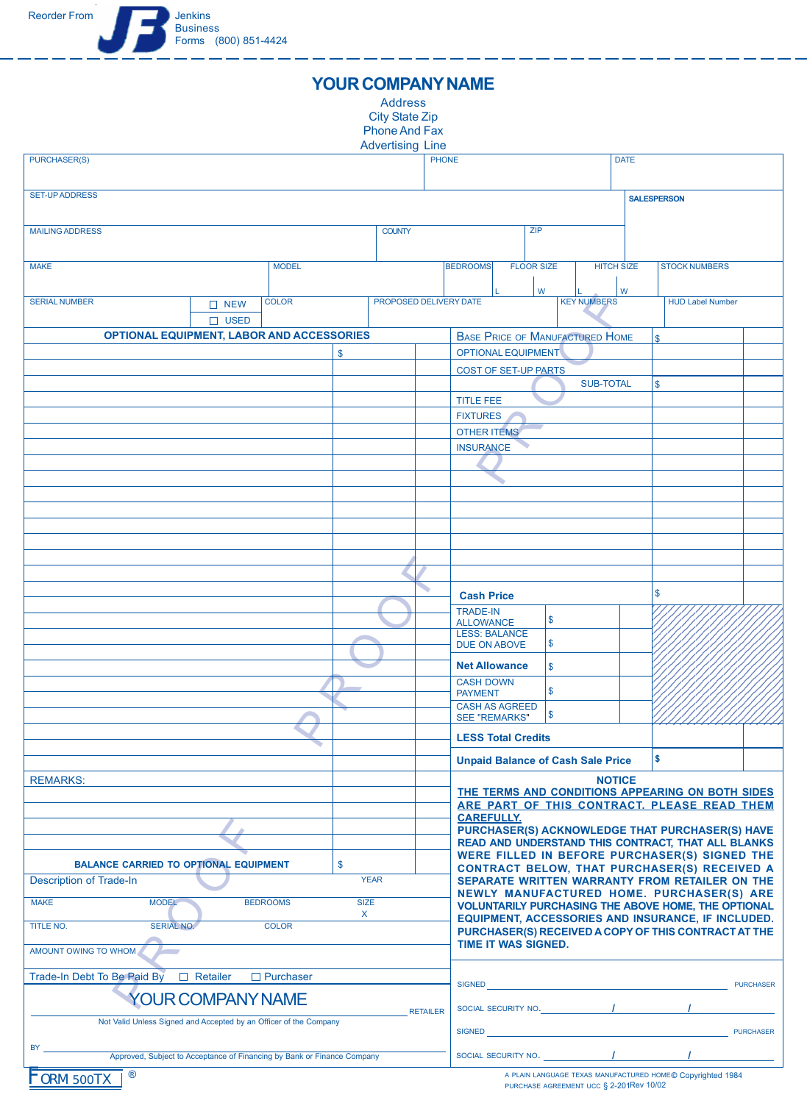## **YOUR COMPANY NAME**

Address City State Zip Phone And Fax

| <b>Advertising Line</b>                                                                     |  |  |               |                                                    |                                                                                                            |                   |                         |                  |  |
|---------------------------------------------------------------------------------------------|--|--|---------------|----------------------------------------------------|------------------------------------------------------------------------------------------------------------|-------------------|-------------------------|------------------|--|
| <b>PHONE</b><br><b>PURCHASER(S)</b>                                                         |  |  |               |                                                    | <b>DATE</b>                                                                                                |                   |                         |                  |  |
| <b>SET-UP ADDRESS</b>                                                                       |  |  |               |                                                    | <b>SALESPERSON</b>                                                                                         |                   |                         |                  |  |
| <b>MAILING ADDRESS</b>                                                                      |  |  | <b>COUNTY</b> |                                                    | <b>ZIP</b>                                                                                                 |                   |                         |                  |  |
|                                                                                             |  |  |               |                                                    |                                                                                                            |                   |                         |                  |  |
| <b>MODEL</b><br><b>MAKE</b>                                                                 |  |  |               | <b>BEDROOMS</b>                                    | <b>FLOOR SIZE</b>                                                                                          | <b>HITCH SIZE</b> | <b>STOCK NUMBERS</b>    |                  |  |
|                                                                                             |  |  |               |                                                    | W                                                                                                          | W                 |                         |                  |  |
| PROPOSED DELIVERY DATE<br><b>SERIAL NUMBER</b><br><b>COLOR</b><br>$\Box$ NEW<br>$\Box$ USED |  |  |               |                                                    | <b>KEY NUMBERS</b>                                                                                         |                   | <b>HUD Label Number</b> |                  |  |
| <b>OPTIONAL EQUIPMENT, LABOR AND ACCESSORIES</b>                                            |  |  |               |                                                    |                                                                                                            |                   | \$                      |                  |  |
| \$                                                                                          |  |  |               |                                                    | <b>BASE PRICE OF MANUFACTURED HOME</b><br>OPTIONAL EQUIPMENT                                               |                   |                         |                  |  |
|                                                                                             |  |  |               |                                                    | <b>COST OF SET-UP PARTS</b>                                                                                |                   |                         |                  |  |
|                                                                                             |  |  |               |                                                    |                                                                                                            | <b>SUB-TOTAL</b>  | $\mathsf{\$}$           |                  |  |
|                                                                                             |  |  |               | <b>TITLE FEE</b>                                   |                                                                                                            |                   |                         |                  |  |
|                                                                                             |  |  |               | <b>FIXTURES</b>                                    |                                                                                                            |                   |                         |                  |  |
|                                                                                             |  |  |               | <b>OTHER ITEMS</b>                                 |                                                                                                            |                   |                         |                  |  |
|                                                                                             |  |  |               | <b>INSURANCE</b>                                   |                                                                                                            |                   |                         |                  |  |
|                                                                                             |  |  |               |                                                    |                                                                                                            |                   |                         |                  |  |
|                                                                                             |  |  |               |                                                    |                                                                                                            |                   |                         |                  |  |
|                                                                                             |  |  |               |                                                    |                                                                                                            |                   |                         |                  |  |
|                                                                                             |  |  |               |                                                    |                                                                                                            |                   |                         |                  |  |
|                                                                                             |  |  |               |                                                    |                                                                                                            |                   |                         |                  |  |
|                                                                                             |  |  |               |                                                    |                                                                                                            |                   |                         |                  |  |
|                                                                                             |  |  |               |                                                    |                                                                                                            |                   |                         |                  |  |
|                                                                                             |  |  |               | <b>Cash Price</b>                                  |                                                                                                            |                   | \$                      |                  |  |
|                                                                                             |  |  |               | <b>TRADE-IN</b><br><b>ALLOWANCE</b>                | \$                                                                                                         |                   |                         |                  |  |
|                                                                                             |  |  |               | <b>LESS: BALANCE</b>                               | \$                                                                                                         |                   |                         |                  |  |
|                                                                                             |  |  |               | <b>DUE ON ABOVE</b>                                |                                                                                                            |                   |                         |                  |  |
|                                                                                             |  |  |               | <b>Net Allowance</b>                               | $\mathsf{\$}$                                                                                              |                   |                         |                  |  |
|                                                                                             |  |  |               | <b>CASH DOWN</b><br><b>PAYMENT</b>                 | \$                                                                                                         |                   |                         |                  |  |
|                                                                                             |  |  |               | <b>CASH AS AGREED</b>                              | \$                                                                                                         |                   |                         |                  |  |
|                                                                                             |  |  |               | <b>SEE "REMARKS"</b><br><b>LESS Total Credits</b>  |                                                                                                            |                   |                         |                  |  |
|                                                                                             |  |  |               |                                                    | <b>Unpaid Balance of Cash Sale Price</b>                                                                   |                   | \$                      |                  |  |
| <b>REMARKS:</b>                                                                             |  |  |               | <b>NOTICE</b>                                      |                                                                                                            |                   |                         |                  |  |
|                                                                                             |  |  |               |                                                    | THE TERMS AND CONDITIONS APPEARING ON BOTH SIDES                                                           |                   |                         |                  |  |
|                                                                                             |  |  |               |                                                    | ARE PART OF THIS CONTRACT. PLEASE READ THEM<br><b>CAREFULLY.</b>                                           |                   |                         |                  |  |
|                                                                                             |  |  |               |                                                    | PURCHASER(S) ACKNOWLEDGE THAT PURCHASER(S) HAVE                                                            |                   |                         |                  |  |
|                                                                                             |  |  |               | READ AND UNDERSTAND THIS CONTRACT, THAT ALL BLANKS |                                                                                                            |                   |                         |                  |  |
| \$<br><b>BALANCE CARRIED TO OPTIONAL EQUIPMENT</b>                                          |  |  |               |                                                    | WERE FILLED IN BEFORE PURCHASER(S) SIGNED THE<br><b>CONTRACT BELOW, THAT PURCHASER(S) RECEIVED A</b>       |                   |                         |                  |  |
| <b>Description of Trade-In</b><br><b>YEAR</b>                                               |  |  |               |                                                    | SEPARATE WRITTEN WARRANTY FROM RETAILER ON THE<br>NEWLY MANUFACTURED HOME. PURCHASER(S) ARE                |                   |                         |                  |  |
| <b>MAKE</b><br><b>MODEL</b><br><b>BEDROOMS</b><br><b>SIZE</b>                               |  |  |               |                                                    | <b>VOLUNTARILY PURCHASING THE ABOVE HOME, THE OPTIONAL</b>                                                 |                   |                         |                  |  |
| X<br>SERIAL NO.<br>TITLE NO.<br><b>COLOR</b>                                                |  |  |               |                                                    | EQUIPMENT, ACCESSORIES AND INSURANCE, IF INCLUDED.<br>PURCHASER(S) RECEIVED A COPY OF THIS CONTRACT AT THE |                   |                         |                  |  |
| AMOUNT OWING TO WHOM                                                                        |  |  |               |                                                    | <b>TIME IT WAS SIGNED.</b>                                                                                 |                   |                         |                  |  |
| Trade-In Debt To Be Paid By<br>$\Box$ Retailer<br>$\Box$ Purchaser                          |  |  |               |                                                    |                                                                                                            |                   |                         | <b>PURCHASER</b> |  |
| YOUR COMPANY NAME<br><b>RETAILER</b>                                                        |  |  |               | <b>SIGNED</b>                                      | SOCIAL SECURITY NO. 7                                                                                      |                   |                         |                  |  |
| Not Valid Unless Signed and Accepted by an Officer of the Company                           |  |  |               | <b>SIGNED</b>                                      |                                                                                                            |                   |                         | <b>PURCHASER</b> |  |
| BY.<br>Approved, Subject to Acceptance of Financing by Bank or Finance Company              |  |  |               |                                                    | SOCIAL SECURITY NO.                                                                                        |                   |                         |                  |  |
|                                                                                             |  |  |               |                                                    |                                                                                                            |                   |                         |                  |  |

A PLAIN LANGUAGE TEXAS MANUFACTURED HOME **©** Copyrighted 1984 PURCHASE AGREEMENT UCC § 2-201Rev 10/02